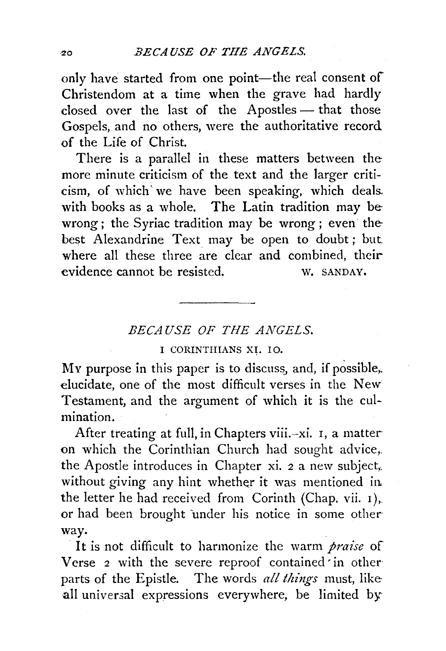only have started from one point-the real consent of Christendom at a time when the grave had hardly closed over the last of the Apostles- that those Gospels, and no others, were the authoritative record of the Life of Christ.

There is a parallel in these matters between the more minute criticism of the text and the larger criticism, of which' we have been speaking, which deals. with books as a whole. The Latin tradition may be wrong; the Syriac tradition may be wrong ; even the best Alexandrine Text may be open to doubt; but where all these three are clear and combined, their evidence cannot be resisted. W. SANDAY.

## *BECAUSE OF THE ANGELS.*

## I CORINTIIIANS XI. 10.

My purpose in this paper is to discuss, and, if possible,. elucidate, one of the most difficult verses in the New Testament, and the argument of which it is the culmination.

After treating at full, in Chapters viii.-xi. 1, a matter on which the Corinthian Church had sought advice, the Apostle introduces in Chapter xi.  $2a$  new subject. without giving any hint whether it was mentioned in the letter he had received from Corinth (Chap. vii. 1),. or had been brought under his notice in some otherway.

It is not difficult to harmonize the warm *praise* of Verse 2 with the severe reproof contained in other parts of the Epistle. The words *all things* must, like all universal expressions everywhere, be limited by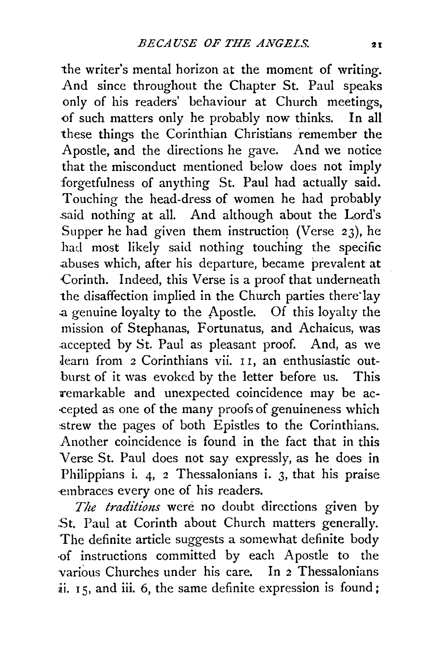the writer's mental horizon at the moment of writing. And since throughout the Chapter St. Paul speaks only of his readers' behaviour at Church meetings, <>f such matters only he probably now thinks. In all these things the Corinthian Christians remember the Apostle, and the directions he gave. And we notice that the misconduct mentioned below does not imply forgetfulness of anything St. Paul had actually said. Touching the head-dress of women he had probably said nothing at all. And although about the Lord's Supper he had given them instruction (Verse  $23$ ), he had most likely said nothing touching the specific :abuses which, after his departure, became prevalent at Corinth. Indeed, this Verse is a proof that underneath the disaffection implied in the Church parties there·lay .a genuine loyalty to the Apostle. Of this loyalty the mission of Stephanas, Fortunatus, and Achaicus, was .accepted by St. Paul as pleasant proof. And, as we Jearn from 2 Corinthians vii. I I, an enthusiastic outburst of it was evoked by the letter before us. This remarkable and unexpected coincidence may be ac-·cepted as one of the many proofs of genuineness which strew the pages of both Epistles to the Corinthians. Another coincidence is found in the fact that in this Verse St. Paul does not say expressly, as he does in Philippians i. 4, 2 Thessalonians i. 3, that his praise -embraces every one of his readers.

*The traditions* were no doubt directions given by St. Paul at Corinth about Church matters generally. The definite article suggests a somewhat definite body ·of instructions committed by each Apostle to the -various Churches under his care. In 2 Thessalonians ii. 15, and iii. 6, the same definite expression is found;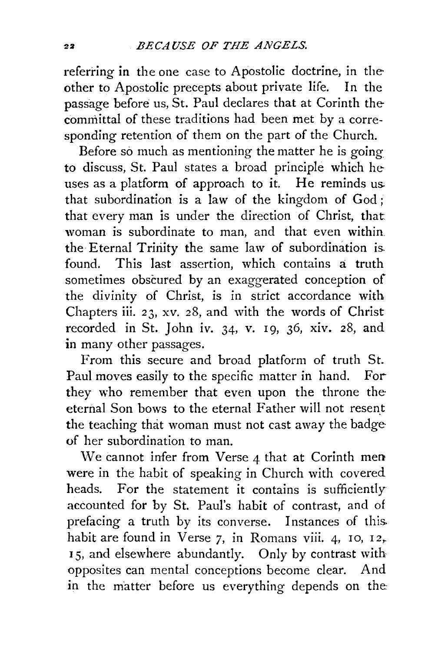referring in the one case to Apostolic doctrine, in theother to Apostolic precepts about private life. In the passage before us, St. Paul declares that at Corinth the committal of these traditions had been met by a corresponding retention of them on the part of the Church.

Before so much as mentioning the matter he is going to discuss, St. Paul states a broad principle which he uses as a platform of approach to it. He reminds us that subordination is a law of the kingdom of God; that every man is under the direction of Christ, that woman is subordinate to man, and that even within the Eternal Trinity the same law of subordination is found. This last assertion, which contains a truth sometimes obscured by an exaggerated conception of the divinity of Christ, is in strict accordance with Chapters iii. 23, xv. 28, and with the words of Christ recorded in St. John iv. 34, v. 19, 36, xiv. 28, and in many other passages.

From this secure and broad platform of truth St. Paul moves easily to the specific matter in hand. For they who remember that even upon the throne the eternal Son bows to the eternal Father will not resent the teaching that woman must not cast away the badge of her subordination to man.

We cannot infer from Verse  $4$  that at Corinth men were in the habit of speaking in Church with covered heads. For the statement it contains is sufficiently accounted for by St. Paul's habit of contrast, and of prefacing a truth by its converse. Instances of this. habit are found in Verse  $7$ , in Romans viii. 4, 10, 12, 15, and elsewhere abundantly. Only by contrast with opposites can mental conceptions become clear. And in the matter before us everything depends on the: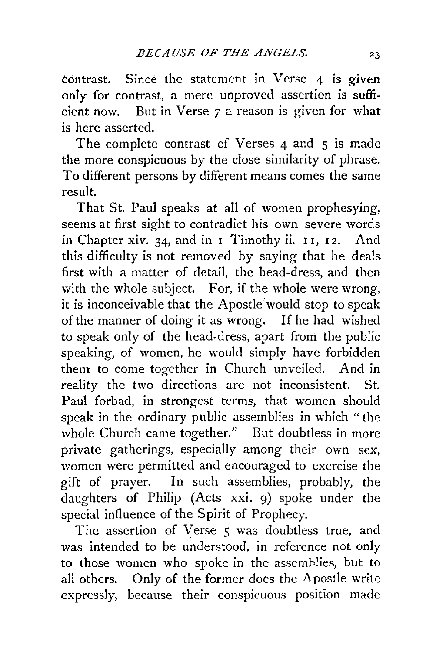tontrast. Since the statement in Verse 4 is given only for contrast, a mere unproved assertion is sufficient now. But in Verse *7* a reason is given for what is here asserted.

The complete contrast of Verses 4 and 5 is made the more conspicuous by the close similarity of phrase. To different persons by different means comes the same result.

That St. Paul speaks at all of women prophesying, seems at first sight to contradict his own severe words in Chapter xiv. 34, and in I Timothy ii. 11, 12. And this difficulty is not removed by saying that he deals first with a matter of detail, the head-dress, and then with the whole subject. For, if the whole were wrong. it is inconceivable that the Apostle 'would stop to speak of the manner of doing it as wrong. If he had wished to speak only of the head-dress, apart from the public speaking, of women, he would simply have forbidden them to come together in Church unveiled. And in reality the two directions are not inconsistent. St. Paul forbad, in strongest terms, that women should speak in the ordinary public assemblies in which "the whole Church came together." But doubtless in more private gatherings, especially among their own sex, women were permitted and encouraged to exercise the gift of prayer. In such assemblies, probably, the daughters of Philip (Acts xxi. 9) spoke under the special influence of the Spirit of Prophecy.

The assertion of Verse 5 was doubtless true, and was intended to be understood, in reference not only to those women who spoke in the assemblies, but to all others. Only of the former does the Apostle write expressly, because their conspicuous position made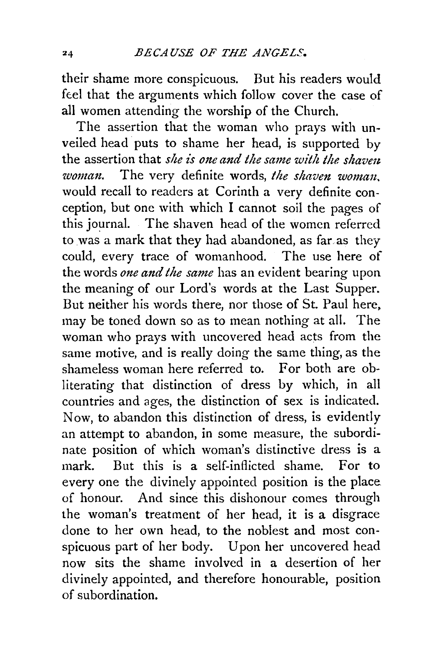their shame more conspicuous. But his readers would feel that the arguments which follow cover the case of all women attending the worship of the Church.

The assertion that the woman who prays with unveiled head puts to shame her head, is supported by the assertion that *she is one and the same with the shaven woman.* The very definite words, the shaven woman, would recall to readers at Corinth a very definite conception, but one with which I cannot soil the pages of this journal. The shaven head of the women referred to was a mark that they had abandoned, as far as they could, every trace of womanhood. The use here of the words *one and the same* has an evident bearing upon the meaning of our Lord's words at the Last Supper. But neither his words there, nor those of St. Paul here, may be toned down so as to mean nothing at all. The woman who prays with uncovered head acts from the same motive, and is really doing the same thing, as the shameless woman here referred to. For both are obliterating that distinction of dress by which, in all countries and ages, the distinction of sex is indicated. Now, to abandon this distinction of dress, is evidently an attempt to abandon, in some measure, the subordinate position of which woman's distinctive dress is a mark. But this is a self-inflicted shame. For to every one the divinely appointed position is the place of honour. And since this dishonour comes through the woman's treatment of her head, it is a disgrace done to her own head, to the noblest and most conspicuous part of her body. Upon her uncovered head now sits the shame involved in a desertion of her divinely appointed, and therefore honourable, position of subordination.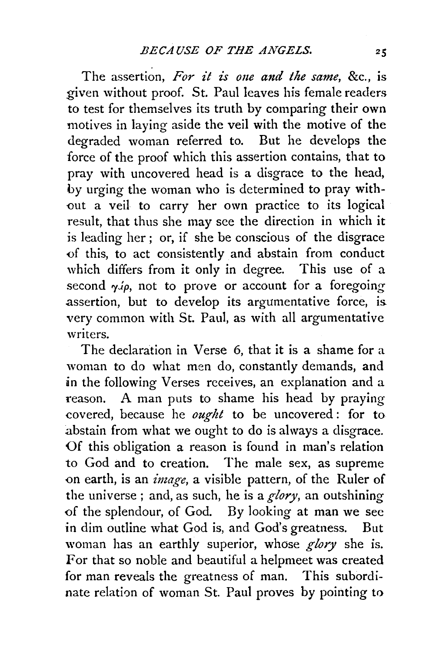The assertion, For it is one and the same, &c., is given without proof. St. Paul leaves his female readers to test for themselves its truth by comparing their own motives in laying aside the veil with the motive of the degraded woman referred to. But he develops the force of the proof which this assertion contains, that to pray with uncovered head is a disgrace to the head, by urging the woman who is determined to pray with- -out a veil to carry her own practice to its logical result, that thus she may see the direction in which it is leading her ; or, if she be conscious of the disgrace <>f this, to act consistently and abstain from conduct which differs from it only in degree. This use of a second  $\gamma \phi$ , not to prove or account for a foregoing assertion, but to develop its argumentative force, is. very common with St. Paul, as with all argumentative writers.

The declaration in Verse 6, that it is a shame for a woman to do what men do, constantly demands, and in the following Verses receives, an explanation and a reason. A man puts to shame his head by praying covered, because he *ought* to be uncovered : for to .abstain from what we ought to do is always a disgrace. Of this obligation a reason is found in man's relation to God and to creation. The male sex, as supreme on earth, is an *image*, a visible pattern, of the Ruler of the universe ; and, as such, he is a *glory,* an outshining of the splendour, of God. By looking at man we see in dim outline what God is, and God's greatness. But woman has an earthly superior, whose *glory* she is. For that so noble and beautiful a helpmeet was created for man reveals the greatness of man. This subordinate relation of woman St. Paul proves by pointing to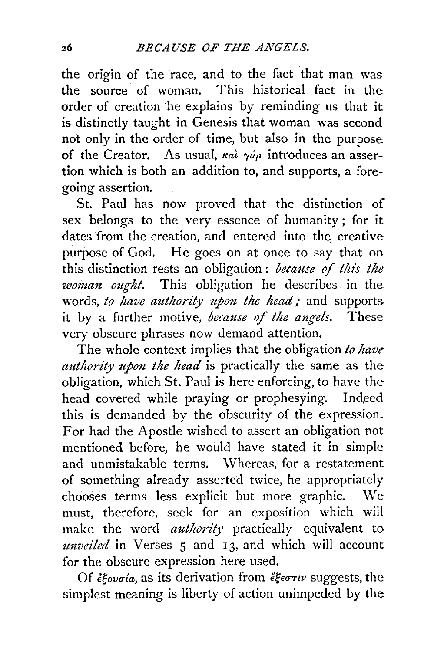the origin of the race, and to the fact that man was<br>the source of woman. This historical fact in the This historical fact in the order of creation he explains by reminding us that it is distinctly taught in Genesis that woman was second not only in the order of time, but also in the purpose of the Creator. As usual, *kal yáp* introduces an assertion which is both an addition to, and supports, a foregoing assertion.

St. Paul has now proved that the distinction of sex belongs to the very essence of humanity ; for it dates 'from the creation, and entered into the creative purpose of God. He goes on at once to say that on this distinction rests an obligation : *because of this the woman ought*. This obligation he describes in the words, *to have authority upon the head;* and supports. it by a further motive, *because of the angels.* These very obscure phrases now demand attention.

The whole context implies that the obligation *to have authority upon the head* is practically the same as the obligation, which St. Paul is here enforcing, to have the head covered while praying or prophesying. Indeed this is demanded by the obscurity of the expression. For had the Apostle wished to assert an obligation not mentioned before, he would have stated it in simple and unmistakable terms. Whereas, for a restatement of something already asserted twice, he appropriately chooses terms less explicit but more graphic. We must, therefore, seek for an exposition which will make the word *authority* practically equivalent to *mzveiled* in Verses *5* and 13, and which will account for the obscure expression here used.

Of *ξεουσία*, as its derivation from *ἔξεστιν* suggests, the simplest meaning is liberty of action unimpeded by the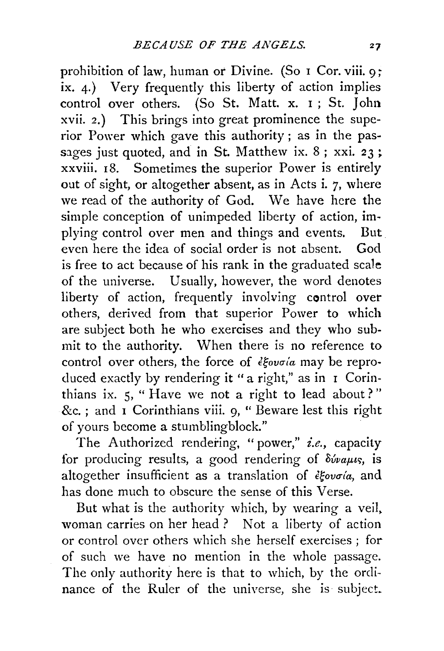prohibition of law, human or Divine. (So I Cor. viii. 9; ix. 4.) Very frequently this liberty of action implies control over others. (So St. Matt. x. I ; St. John xvii. 2.) This brings into great prominence the superior Power which gave this authority; as in the passages just quoted, and in St. Matthew ix.  $8$ ; xxi.  $23$ ; xxviii. 18. Sometimes the superior Power is entirely out of sight, or altogether absent, as in Acts i. 7, where we read of the authority of God. We have here the simple conception of unimpeded liberty of action, implying control over men and things and events. But even here the idea of social order is not absent. God is free to act because of his rank in the graduated scale of the universe. Usually, however, the word denotes liberty of action, frequently involving control over others, derived from that superior Power to which are subject both he who exercises and they who submit to the authority. When there is no reference to control over others, the force of  $\epsilon \in \mathcal{E}$  over others, the force of  $\epsilon \in \mathcal{E}$ duced exactly by rendering it "a right," as in I Corinthians ix. *5,* " Have we not a right to lead about?"  $\&c.$ : and I Corinthians viii. 9, " Beware lest this right of yours become a stumblingblock."

The Authorized rendering, "power," *i.e.*, capacity for producing results, a good rendering of  $\delta \omega_{\alpha\mu\nu s}$ , is altogether insufficient as a translation of  $\frac{\partial^2 u}{\partial x^2}$  and has done much to obscure the sense of this Verse.

But what is the authority which, by wearing a veil, woman carries on her head ? Not a liberty of action or control over others which she herself exercises ; for of such we have no mention in the whole passage. The only authority here is that to which, by the ordinance of the Ruler of the universe, she is subject.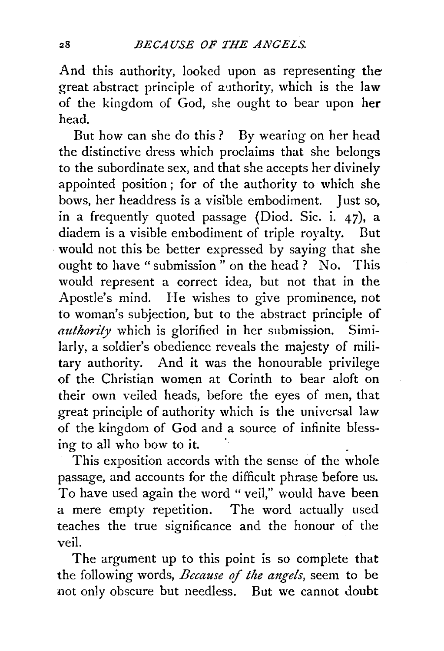And this authority, looked upon as representing the great abstract principle of authority, which is the law of the kingdom of God, she ought to bear upon her head.

But how can she do this ? By wearing on her head the distinctive dress which proclaims that she belongs to the subordinate sex, and that she accepts her divinely appointed position; for of the authority to which she bows, her headdress is a visible embodiment. Just so, in a frequently quoted passage (Diod. Sic. i. 47), a diadem is a visible embodiment of triple royalty. But would not this be better expressed by saying that she ought to have " submission " on the head ? No. This would represent a correct idea, but not that in the Apostle's mind. He wishes to give prominence, not to woman's subjection, but to the abstract principle of *authority* which is glorified in her submission. Similarly, a soldier's obedience reveals the majesty of military authority. And it was the honourable privilege of the Christian women at Corinth to bear aloft on their own veiled heads, before the eyes of men, that great principle of authority which is the universal law of the kingdom of God and a source of infinite blessing to all who bow to it.

This exposition accords with the sense of the whole passage, and accounts for the difficult phrase before us. To have used again the word "veil," would have been a mere empty repetition. The word actually used teaches the true significance and the honour of the veil.

The argument up to this point is so complete that the following words, *Because of the mzgels,* seem to be not only obscure but needless. But we cannot doubt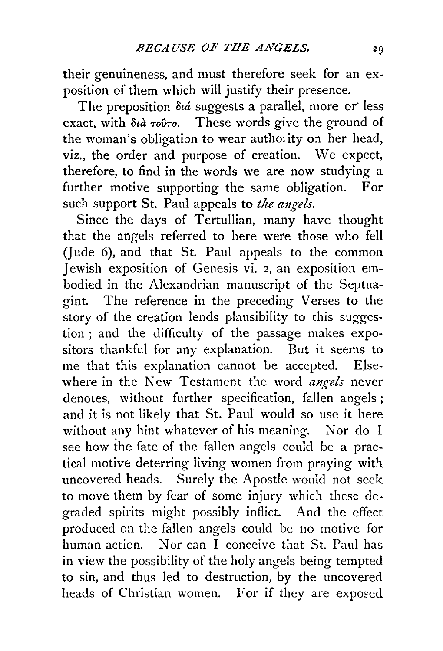their genuineness, and must therefore seek for an exposition of them which will justify their presence.

The preposition  $\delta u$  suggests a parallel, more or less exact, with διà τοῦτο. These words give the ground of the woman's obligation to wear autholity on her head, viz., the order and purpose of creation. We expect, therefore, to find in the words we are now studying a further motive supporting the same obligation. For such support St. Paul appeals to *the angels.* 

Since the days of Tertullian, many have thought that the angels referred to here were those who fell (Jude 6), and that St. Paul appeals to the common Jewish exposition of Genesis vi. 2, an exposition embodied in the Alexandrian manuscript of the Septuagint. The reference in the preceding Verses to the story of the creation lends plausibility to this suggestion ; and the difficulty of the passage makes expositors thankful for any explanation. But it seems to me that this explanation cannot be accepted. Elsewhere in the New Testament the word *angels* never denotes, without further specification, fallen angels ; and it is not likely that St. Paul would so use it here without any hint whatever of his meaning. Nor do I see how the fate of the fallen angels could be a practical motive deterring living women from praying with uncovered heads. Surely the Apostle would not seek to move them by fear of some injury which these degraded spirits might possibly inflict. And the effect produced on the fallen angels could be no motive for human action. Nor can I conceive that St. Paul has. in view the possibility of the holy angels being tempted to sin, and thus led to destruction, by the uncovered heads of Christian women. For if they are exposed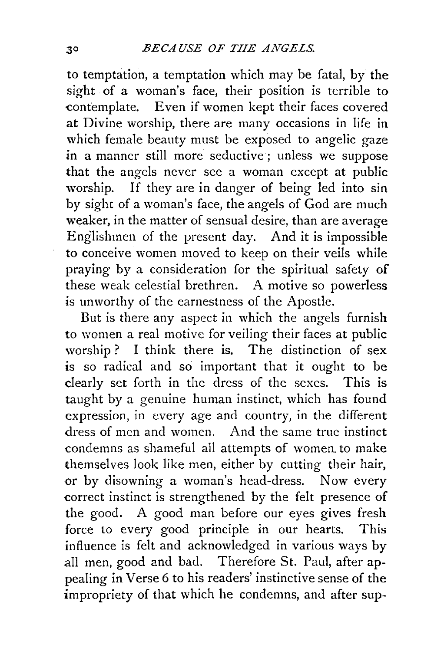to temptation, a temptation which may be fatal, by the sight of a woman's face, their position is terrible to contemplate. Even if women kept their faces covered Even if women kept their faces covered at Divine worship, there are many occasions in life in which female beauty must be exposed to angelic gaze in a manner still more seductive ; unless we suppose that the angels never see a woman except at public worship. If they are in danger of being led into sin by sight of a woman's face, the angels of God are much weaker, in the matter of sensual desire, than are average Englishmen of the present day. And it is impossible to conceive women moved to keep on their veils while praying by a consideration for the spiritual safety of these weak celestial brethren. A motive so powerless is unworthy of the earnestness of the Apostle.

But is there any aspect in which the angels furnish to women a real motive for veiling their faces at public worship ? I think there is. The distinction of sex is so radical and so important that it ought to be clearly set forth in the dress of the sexes. This is taught by a genuine human instinct, which has found expression, in every age and country, in the different dress of men and women. And the same true instinct condemns as shameful all attempts of women. to make themselves look like men, either by cutting their hair, or by disowning a woman's head-dress. Now every correct instinct is strengthened by the felt presence of the good. A good man before our eyes gives fresh force to every good principle in our hearts. This influence is felt and acknowledged in various ways by all men, good and bad. Therefore St. Paul, after appealing in Verse 6 to his readers' instinctive sense of the impropriety of that which he condemns, and after sup-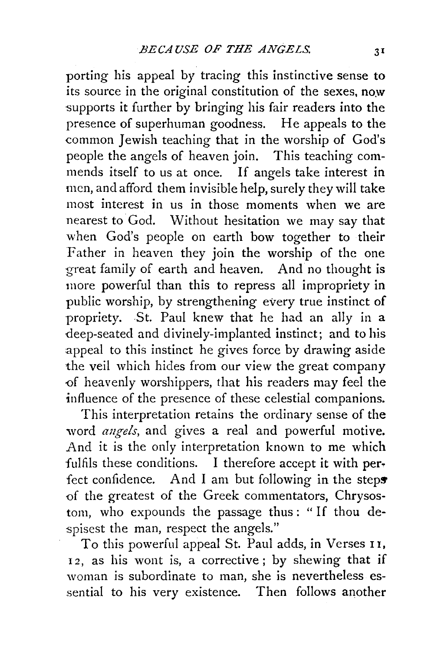porting his appeal by tracing this instinctive sense to its source in the original constitution of the sexes, now supports it further by bringing his fair readers into the presence of superhuman goodness. He appeals to the common Jewish teaching that in the worship of God's people the angels of heaven join. This teaching commends itself to us at once. If angels take interest in men, and afford them invisible help, surely they will take most interest in us in those moments when we are nearest to God. Without hesitation we may say that when God's people on earth bow together to their Father in heaven they join the worship of the one great family of earth and heaven. And no thought is more powerful than this to repress all impropriety in public worship, by strengthening every true instinct of propriety. St. Paul knew that he had an ally in a deep-seated and divinely-implanted instinct; and to his appeal to this instinct he gives force by drawing aside the veil which hides from our view the great company -of heavenly worshippers, that his readers may feel the influence of the presence of these celestial companions.

This interpretation retains the ordinary sense of the word *angels,* and gives a real and powerful motive. And it is the only interpretation known to me which fulfils these conditions. I therefore accept it with perfect confidence. And I am but following in the steps of the greatest of the Greek commentators, Chrysostom, who expounds the passage thus : " If thou despisest the man, respect the angels."

To this powerful appeal St. Paul adds, in Verses 11, 12, as his wont is, a corrective; by shewing that if woman is subordinate to man, she is nevertheless essential to his very existence. Then follows another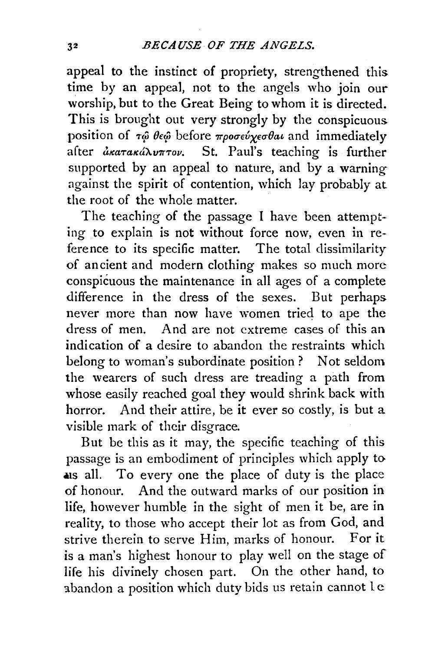appeal to the instinct of propriety, strengthened this time by an appeal, not to the angels who join our worship, but to the Great Being to whom it is directed. This is brought out very strongly by the conspicuous position of  $\tau\hat{\varphi}$  *θε* $\hat{\varphi}$  before *προσεύχεσθαι* and immediately after axaraxaNvnrov. St. Paul's teaching is further supported by an appeal to nature, and by a warning against the spirit of contention, which lay probably at the root of the whole matter.

The teaching of the passage I have been attempting to explain is not without force now, even in reference to its specific matter. The total dissimilarity of ancient and modern clothing makes so much more conspicuous the maintenance in all ages of a complete difference in the dress of the sexes. But perhaps never more than now have women tried to ape the dress of men. And are not extreme cases of this an indication of a desire to abandon the restraints which belong to woman's subordinate position ? Not seldom the wearers of such dress are treading a path from whose easily reached goal they would shrink back with horror. And their attire, be it ever so costly, is but a visible mark of their disgrace.

But be this as it may, the specific teaching of this passage is an embodiment of principles which apply to als all. To every one the place of duty is the place of honour. And the outward marks of our position in life, however humble in the sight of men it be, are in reality, to those who accept their lot as from God, and strive therein to serve Him, marks of honour. For it is a man's highest honour to play well on the stage of life his divinely chosen part. On the other hand, to abandon a position which duty bids us retain cannot le